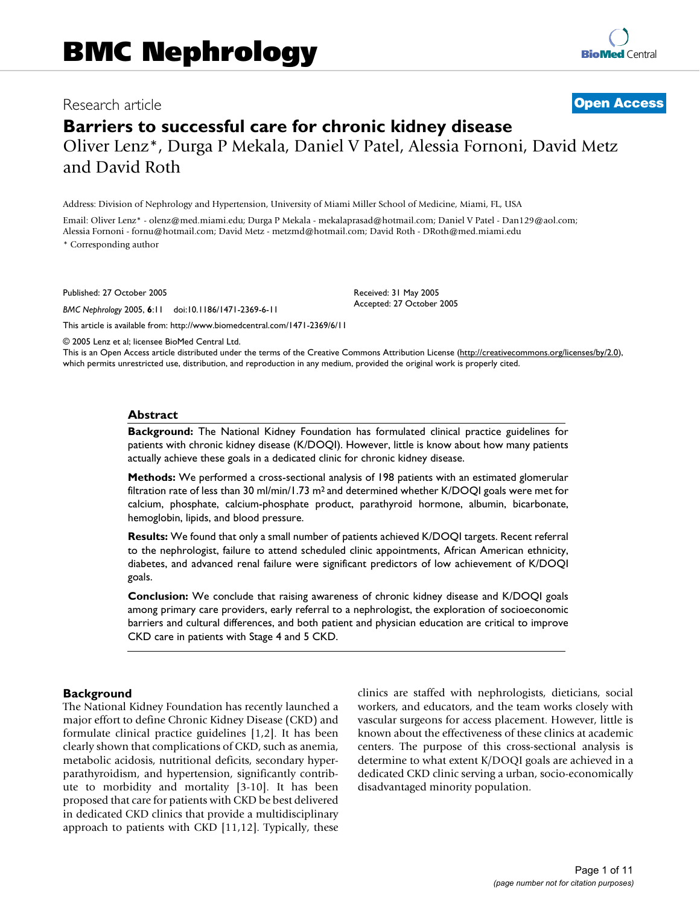# Research article **[Open Access](http://www.biomedcentral.com/info/about/charter/)**

# **Barriers to successful care for chronic kidney disease** Oliver Lenz\*, Durga P Mekala, Daniel V Patel, Alessia Fornoni, David Metz and David Roth

Address: Division of Nephrology and Hypertension, University of Miami Miller School of Medicine, Miami, FL, USA

Email: Oliver Lenz\* - olenz@med.miami.edu; Durga P Mekala - mekalaprasad@hotmail.com; Daniel V Patel - Dan129@aol.com; Alessia Fornoni - fornu@hotmail.com; David Metz - metzmd@hotmail.com; David Roth - DRoth@med.miami.edu \* Corresponding author

Published: 27 October 2005

*BMC Nephrology* 2005, **6**:11 doi:10.1186/1471-2369-6-11

[This article is available from: http://www.biomedcentral.com/1471-2369/6/11](http://www.biomedcentral.com/1471-2369/6/11)

© 2005 Lenz et al; licensee BioMed Central Ltd.

This is an Open Access article distributed under the terms of the Creative Commons Attribution License [\(http://creativecommons.org/licenses/by/2.0\)](http://creativecommons.org/licenses/by/2.0), which permits unrestricted use, distribution, and reproduction in any medium, provided the original work is properly cited.

Received: 31 May 2005 Accepted: 27 October 2005

#### **Abstract**

**Background:** The National Kidney Foundation has formulated clinical practice guidelines for patients with chronic kidney disease (K/DOQI). However, little is know about how many patients actually achieve these goals in a dedicated clinic for chronic kidney disease.

**Methods:** We performed a cross-sectional analysis of 198 patients with an estimated glomerular filtration rate of less than 30 ml/min/1.73 m<sup>2</sup> and determined whether K/DOQI goals were met for calcium, phosphate, calcium-phosphate product, parathyroid hormone, albumin, bicarbonate, hemoglobin, lipids, and blood pressure.

**Results:** We found that only a small number of patients achieved K/DOQI targets. Recent referral to the nephrologist, failure to attend scheduled clinic appointments, African American ethnicity, diabetes, and advanced renal failure were significant predictors of low achievement of K/DOQI goals.

**Conclusion:** We conclude that raising awareness of chronic kidney disease and K/DOQI goals among primary care providers, early referral to a nephrologist, the exploration of socioeconomic barriers and cultural differences, and both patient and physician education are critical to improve CKD care in patients with Stage 4 and 5 CKD.

#### **Background**

The National Kidney Foundation has recently launched a major effort to define Chronic Kidney Disease (CKD) and formulate clinical practice guidelines [1,2]. It has been clearly shown that complications of CKD, such as anemia, metabolic acidosis, nutritional deficits, secondary hyperparathyroidism, and hypertension, significantly contribute to morbidity and mortality [3-10]. It has been proposed that care for patients with CKD be best delivered in dedicated CKD clinics that provide a multidisciplinary approach to patients with CKD [11,12]. Typically, these clinics are staffed with nephrologists, dieticians, social workers, and educators, and the team works closely with vascular surgeons for access placement. However, little is known about the effectiveness of these clinics at academic centers. The purpose of this cross-sectional analysis is determine to what extent K/DOQI goals are achieved in a dedicated CKD clinic serving a urban, socio-economically disadvantaged minority population.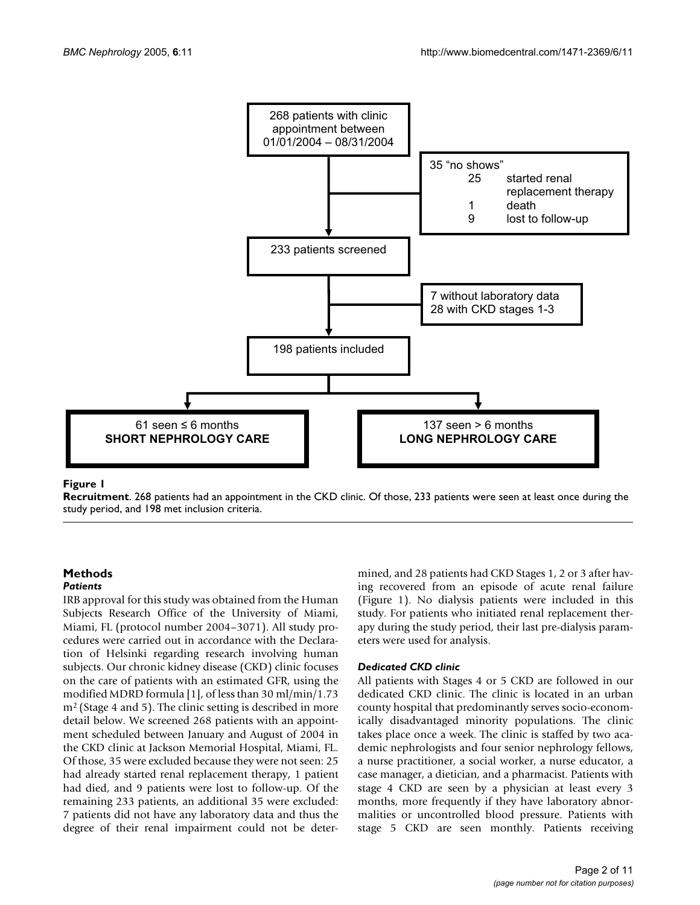

#### **Figure 1**

**Recruitment**. 268 patients had an appointment in the CKD clinic. Of those, 233 patients were seen at least once during the study period, and 198 met inclusion criteria.

## **Methods**

#### *Patients*

IRB approval for this study was obtained from the Human Subjects Research Office of the University of Miami, Miami, FL (protocol number 2004–3071). All study procedures were carried out in accordance with the Declaration of Helsinki regarding research involving human subjects. Our chronic kidney disease (CKD) clinic focuses on the care of patients with an estimated GFR, using the modified MDRD formula [1], of less than 30 ml/min/1.73 m2 (Stage 4 and 5). The clinic setting is described in more detail below. We screened 268 patients with an appointment scheduled between January and August of 2004 in the CKD clinic at Jackson Memorial Hospital, Miami, FL. Of those, 35 were excluded because they were not seen: 25 had already started renal replacement therapy, 1 patient had died, and 9 patients were lost to follow-up. Of the remaining 233 patients, an additional 35 were excluded: 7 patients did not have any laboratory data and thus the degree of their renal impairment could not be determined, and 28 patients had CKD Stages 1, 2 or 3 after having recovered from an episode of acute renal failure (Figure 1). No dialysis patients were included in this study. For patients who initiated renal replacement therapy during the study period, their last pre-dialysis parameters were used for analysis.

## *Dedicated CKD clinic*

All patients with Stages 4 or 5 CKD are followed in our dedicated CKD clinic. The clinic is located in an urban county hospital that predominantly serves socio-economically disadvantaged minority populations. The clinic takes place once a week. The clinic is staffed by two academic nephrologists and four senior nephrology fellows, a nurse practitioner, a social worker, a nurse educator, a case manager, a dietician, and a pharmacist. Patients with stage 4 CKD are seen by a physician at least every 3 months, more frequently if they have laboratory abnormalities or uncontrolled blood pressure. Patients with stage 5 CKD are seen monthly. Patients receiving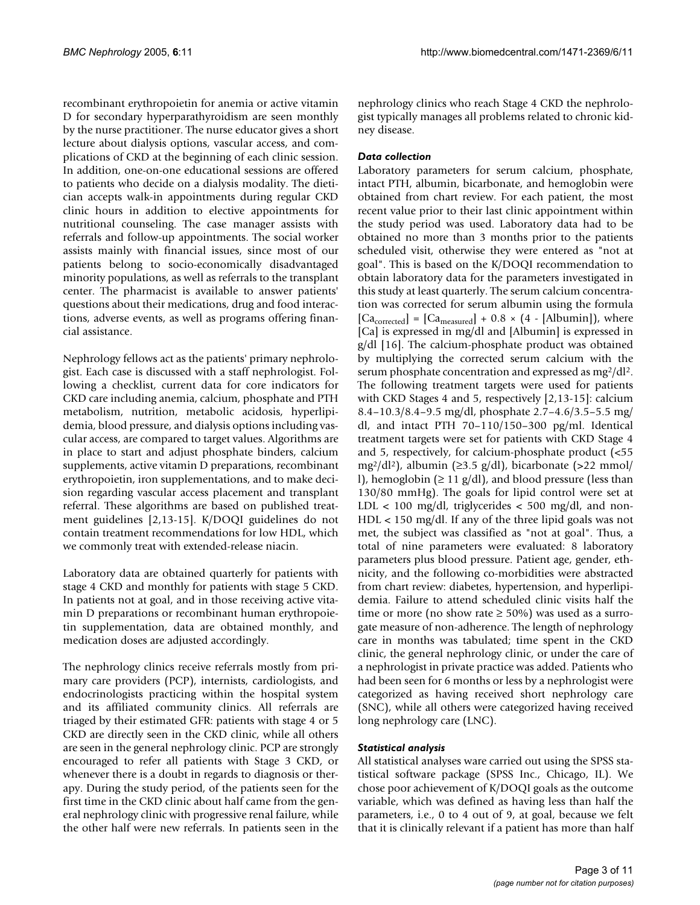recombinant erythropoietin for anemia or active vitamin D for secondary hyperparathyroidism are seen monthly by the nurse practitioner. The nurse educator gives a short lecture about dialysis options, vascular access, and complications of CKD at the beginning of each clinic session. In addition, one-on-one educational sessions are offered to patients who decide on a dialysis modality. The dietician accepts walk-in appointments during regular CKD clinic hours in addition to elective appointments for nutritional counseling. The case manager assists with referrals and follow-up appointments. The social worker assists mainly with financial issues, since most of our patients belong to socio-economically disadvantaged minority populations, as well as referrals to the transplant center. The pharmacist is available to answer patients' questions about their medications, drug and food interactions, adverse events, as well as programs offering financial assistance.

Nephrology fellows act as the patients' primary nephrologist. Each case is discussed with a staff nephrologist. Following a checklist, current data for core indicators for CKD care including anemia, calcium, phosphate and PTH metabolism, nutrition, metabolic acidosis, hyperlipidemia, blood pressure, and dialysis options including vascular access, are compared to target values. Algorithms are in place to start and adjust phosphate binders, calcium supplements, active vitamin D preparations, recombinant erythropoietin, iron supplementations, and to make decision regarding vascular access placement and transplant referral. These algorithms are based on published treatment guidelines [2,13-15]. K/DOQI guidelines do not contain treatment recommendations for low HDL, which we commonly treat with extended-release niacin.

Laboratory data are obtained quarterly for patients with stage 4 CKD and monthly for patients with stage 5 CKD. In patients not at goal, and in those receiving active vitamin D preparations or recombinant human erythropoietin supplementation, data are obtained monthly, and medication doses are adjusted accordingly.

The nephrology clinics receive referrals mostly from primary care providers (PCP), internists, cardiologists, and endocrinologists practicing within the hospital system and its affiliated community clinics. All referrals are triaged by their estimated GFR: patients with stage 4 or 5 CKD are directly seen in the CKD clinic, while all others are seen in the general nephrology clinic. PCP are strongly encouraged to refer all patients with Stage 3 CKD, or whenever there is a doubt in regards to diagnosis or therapy. During the study period, of the patients seen for the first time in the CKD clinic about half came from the general nephrology clinic with progressive renal failure, while the other half were new referrals. In patients seen in the nephrology clinics who reach Stage 4 CKD the nephrologist typically manages all problems related to chronic kidney disease.

## *Data collection*

Laboratory parameters for serum calcium, phosphate, intact PTH, albumin, bicarbonate, and hemoglobin were obtained from chart review. For each patient, the most recent value prior to their last clinic appointment within the study period was used. Laboratory data had to be obtained no more than 3 months prior to the patients scheduled visit, otherwise they were entered as "not at goal". This is based on the K/DOQI recommendation to obtain laboratory data for the parameters investigated in this study at least quarterly. The serum calcium concentration was corrected for serum albumin using the formula  $[Ca<sub>corrected</sub>] = [Ca<sub>measured</sub>] + 0.8 \times (4 - [Albumin]),$  where [Ca] is expressed in mg/dl and [Albumin] is expressed in g/dl [16]. The calcium-phosphate product was obtained by multiplying the corrected serum calcium with the serum phosphate concentration and expressed as mg<sup>2</sup>/dl<sup>2</sup>. The following treatment targets were used for patients with CKD Stages 4 and 5, respectively [2,13-15]: calcium 8.4–10.3/8.4–9.5 mg/dl, phosphate 2.7–4.6/3.5–5.5 mg/ dl, and intact PTH 70–110/150–300 pg/ml. Identical treatment targets were set for patients with CKD Stage 4 and 5, respectively, for calcium-phosphate product (<55 mg<sup>2</sup>/dl<sup>2</sup>), albumin ( $\geq$ 3.5 g/dl), bicarbonate ( $>$ 22 mmol/ l), hemoglobin ( $\geq 11$  g/dl), and blood pressure (less than 130/80 mmHg). The goals for lipid control were set at  $LDL < 100$  mg/dl, triglycerides  $< 500$  mg/dl, and non-HDL < 150 mg/dl. If any of the three lipid goals was not met, the subject was classified as "not at goal". Thus, a total of nine parameters were evaluated: 8 laboratory parameters plus blood pressure. Patient age, gender, ethnicity, and the following co-morbidities were abstracted from chart review: diabetes, hypertension, and hyperlipidemia. Failure to attend scheduled clinic visits half the time or more (no show rate  $\geq 50\%$ ) was used as a surrogate measure of non-adherence. The length of nephrology care in months was tabulated; time spent in the CKD clinic, the general nephrology clinic, or under the care of a nephrologist in private practice was added. Patients who had been seen for 6 months or less by a nephrologist were categorized as having received short nephrology care (SNC), while all others were categorized having received long nephrology care (LNC).

## *Statistical analysis*

All statistical analyses ware carried out using the SPSS statistical software package (SPSS Inc., Chicago, IL). We chose poor achievement of K/DOQI goals as the outcome variable, which was defined as having less than half the parameters, i.e., 0 to 4 out of 9, at goal, because we felt that it is clinically relevant if a patient has more than half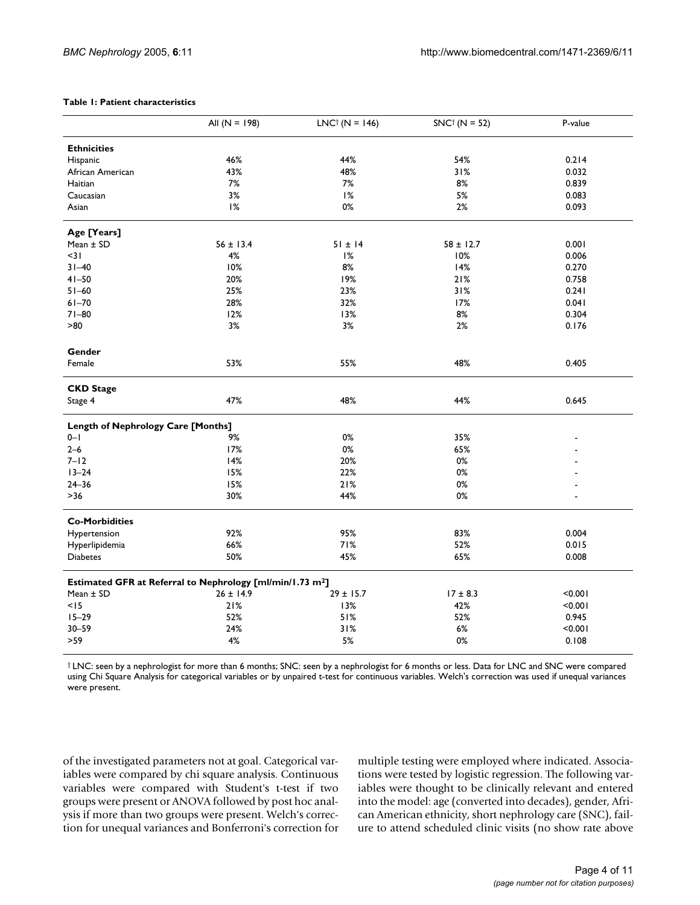#### **Table 1: Patient characteristics**

|                                    | All $(N = 198)$                                                       | $LNC^{\dagger}$ (N = 146) | $SNC^{+}(N = 52)$ | P-value |
|------------------------------------|-----------------------------------------------------------------------|---------------------------|-------------------|---------|
| <b>Ethnicities</b>                 |                                                                       |                           |                   |         |
| Hispanic                           | 46%                                                                   | 44%                       | 54%               | 0.214   |
| African American                   | 43%                                                                   | 48%                       | 31%               | 0.032   |
| Haitian                            | 7%                                                                    | 7%                        | 8%                | 0.839   |
| Caucasian                          | 3%                                                                    | 1%                        | 5%                | 0.083   |
| Asian                              | 1%                                                                    | 0%                        | 2%                | 0.093   |
| Age [Years]                        |                                                                       |                           |                   |         |
| Mean $\pm$ SD                      | $56 \pm 13.4$                                                         | $51 \pm 14$               | $58 \pm 12.7$     | 0.001   |
| $<$ 31                             | 4%                                                                    | 1%                        | 10%               | 0.006   |
| $31 - 40$                          | 10%                                                                   | 8%                        | 14%               | 0.270   |
| $41 - 50$                          | 20%                                                                   | 19%                       | 21%               | 0.758   |
| $51 - 60$                          | 25%                                                                   | 23%                       | 31%               | 0.241   |
| $61 - 70$                          | 28%                                                                   | 32%                       | 17%               | 0.041   |
| $71 - 80$                          | 12%                                                                   | 13%                       | 8%                | 0.304   |
| >80                                | 3%                                                                    | 3%                        | 2%                | 0.176   |
| Gender                             |                                                                       |                           |                   |         |
| Female                             | 53%                                                                   | 55%                       | 48%               | 0.405   |
| <b>CKD Stage</b>                   |                                                                       |                           |                   |         |
| Stage 4                            | 47%                                                                   | 48%                       | 44%               | 0.645   |
| Length of Nephrology Care [Months] |                                                                       |                           |                   |         |
| $0 - 1$                            | 9%                                                                    | 0%                        | 35%               |         |
| $2 - 6$                            | 17%                                                                   | 0%                        | 65%               |         |
| $7 - 12$                           | 14%                                                                   | 20%                       | 0%                |         |
| $13 - 24$                          | 15%                                                                   | 22%                       | 0%                |         |
| $24 - 36$                          | 15%                                                                   | 21%                       | 0%                |         |
| $>36$                              | 30%                                                                   | 44%                       | 0%                |         |
| <b>Co-Morbidities</b>              |                                                                       |                           |                   |         |
| Hypertension                       | 92%                                                                   | 95%                       | 83%               | 0.004   |
| Hyperlipidemia                     | 66%                                                                   | 71%                       | 52%               | 0.015   |
| <b>Diabetes</b>                    | 50%                                                                   | 45%                       | 65%               | 0.008   |
|                                    | Estimated GFR at Referral to Nephrology [ml/min/1.73 m <sup>2</sup> ] |                           |                   |         |
| Mean ± SD                          | $26 \pm 14.9$                                                         | $29 \pm 15.7$             | $17 \pm 8.3$      | < 0.001 |
| < 15                               | 21%                                                                   | 13%                       | 42%               | < 0.001 |
| $15 - 29$                          | 52%                                                                   | 51%                       | 52%               | 0.945   |
| $30 - 59$                          | 24%                                                                   | 31%                       | 6%                | < 0.001 |
| >59                                | 4%                                                                    | 5%                        | 0%                | 0.108   |

† LNC: seen by a nephrologist for more than 6 months; SNC: seen by a nephrologist for 6 months or less. Data for LNC and SNC were compared using Chi Square Analysis for categorical variables or by unpaired t-test for continuous variables. Welch's correction was used if unequal variances were present.

of the investigated parameters not at goal. Categorical variables were compared by chi square analysis. Continuous variables were compared with Student's t-test if two groups were present or ANOVA followed by post hoc analysis if more than two groups were present. Welch's correction for unequal variances and Bonferroni's correction for multiple testing were employed where indicated. Associations were tested by logistic regression. The following variables were thought to be clinically relevant and entered into the model: age (converted into decades), gender, African American ethnicity, short nephrology care (SNC), failure to attend scheduled clinic visits (no show rate above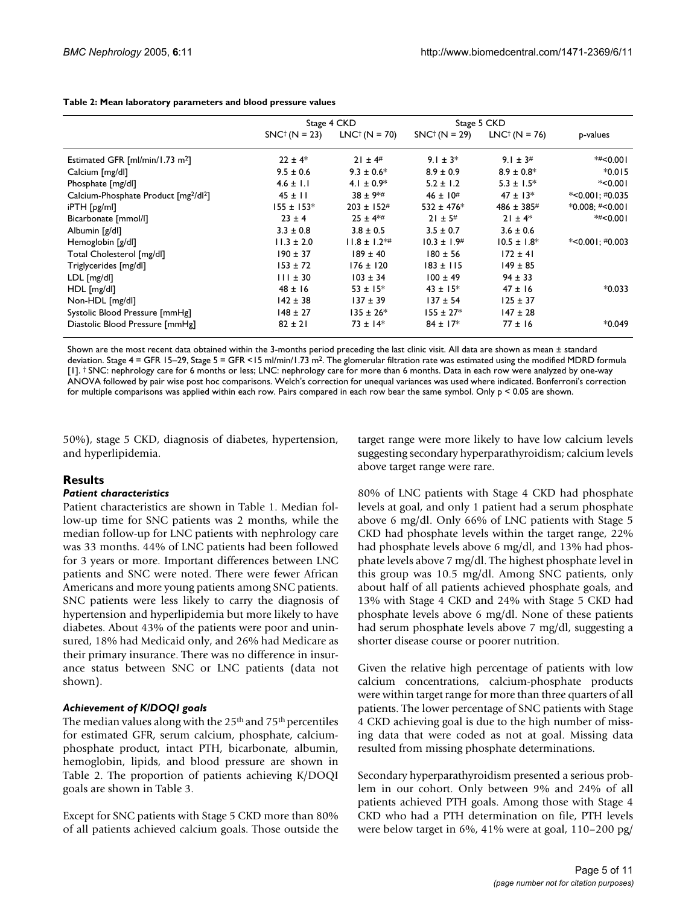|                                                  | Stage 4 CKD              |                          | Stage 5 CKD              |                          |                    |  |
|--------------------------------------------------|--------------------------|--------------------------|--------------------------|--------------------------|--------------------|--|
|                                                  | $SNC^{\dagger}$ (N = 23) | $LNC^{\dagger}$ (N = 70) | $SNC^+(N = 29)$          | $LNC^{\dagger}$ (N = 76) | p-values           |  |
| Estimated GFR [ml/min/1.73 m <sup>2</sup> ]      | $22 \pm 4*$              | $21 \pm 4$ #             | 9.1 ± $3*$               | 9.1 ± $3#$               | $*#<0.001$         |  |
| Calcium [mg/dl]                                  | $9.5 \pm 0.6$            | $9.3 \pm 0.6^*$          | $8.9 \pm 0.9$            | $8.9 \pm 0.8^*$          | $*0.015$           |  |
| Phosphate [mg/dl]                                | $4.6 \pm 1.1$            | 4.1 ± 0.9*               | $5.2 \pm 1.2$            | $5.3 \pm 1.5^*$          | $*<0.001$          |  |
| Calcium-Phosphate Product [mg2/dl <sup>2</sup> ] | $45 \pm 11$              | $38 \pm 9^{*}\#$         | $46 \pm 10^{#}$          | $47 \pm 13$ *            | $*$ <0.001; #0.035 |  |
| iPTH [pg/ml]                                     | $155 \pm 153*$           | $203 \pm 152$ #          | $532 \pm 476*$           | $486 \pm 385$ #          | $*0.008; *<0.001$  |  |
| Bicarbonate [mmol/l]                             | $23 \pm 4$               | $25 \pm 4^{*}\#$         | $21 \pm 5^{#}$           | $21 \pm 4*$              | $*#<0.001$         |  |
| Albumin [g/dl]                                   | $3.3 \pm 0.8$            | $3.8 \pm 0.5$            | $3.5 \pm 0.7$            | $3.6 \pm 0.6$            |                    |  |
| Hemoglobin [g/dl]                                | $11.3 \pm 2.0$           | $11.8 \pm 1.2^{*+1}$     | $10.3 \pm 1.9^{#}$       | $10.5 \pm 1.8^*$         | $*$ <0.001: #0.003 |  |
| Total Cholesterol [mg/dl]                        | $190 \pm 37$             | $189 \pm 40$             | $180 \pm 56$             | $172 \pm 41$             |                    |  |
| Triglycerides [mg/dl]                            | $153 \pm 72$             | $176 \pm 120$            | $183 \pm 115$            | $149 \pm 85$             |                    |  |
| LDL [mg/dl]                                      | $111 \pm 30$             | $103 \pm 34$             | $100 \pm 49$             | $94 \pm 33$              |                    |  |
| HDL [mg/dl]                                      | $48 \pm 16$              | $53 \pm 15^*$            | $43 \pm 15$ <sup>*</sup> | $47 \pm 16$              | $*0.033$           |  |
| Non-HDL [mg/dl]                                  | $142 \pm 38$             | $137 \pm 39$             | $137 + 54$               | $125 \pm 37$             |                    |  |
| Systolic Blood Pressure [mmHg]                   | $148 \pm 27$             | $135 \pm 26*$            | $155 \pm 27$ *           | $147 \pm 28$             |                    |  |
| Diastolic Blood Pressure [mmHg]                  | $82 \pm 21$              | $73 \pm 14*$             | $84 \pm 17$ *            | $77 \pm 16$              | $*0.049$           |  |

Shown are the most recent data obtained within the 3-months period preceding the last clinic visit. All data are shown as mean ± standard deviation. Stage 4 = GFR 15-29, Stage 5 = GFR <15 ml/min/1.73 m<sup>2</sup>. The glomerular filtration rate was estimated using the modified MDRD formula [1]. † SNC: nephrology care for 6 months or less; LNC: nephrology care for more than 6 months. Data in each row were analyzed by one-way ANOVA followed by pair wise post hoc comparisons. Welch's correction for unequal variances was used where indicated. Bonferroni's correction for multiple comparisons was applied within each row. Pairs compared in each row bear the same symbol. Only  $p < 0.05$  are shown.

50%), stage 5 CKD, diagnosis of diabetes, hypertension, and hyperlipidemia.

## **Results**

#### *Patient characteristics*

Patient characteristics are shown in Table 1. Median follow-up time for SNC patients was 2 months, while the median follow-up for LNC patients with nephrology care was 33 months. 44% of LNC patients had been followed for 3 years or more. Important differences between LNC patients and SNC were noted. There were fewer African Americans and more young patients among SNC patients. SNC patients were less likely to carry the diagnosis of hypertension and hyperlipidemia but more likely to have diabetes. About 43% of the patients were poor and uninsured, 18% had Medicaid only, and 26% had Medicare as their primary insurance. There was no difference in insurance status between SNC or LNC patients (data not shown).

## *Achievement of K/DOQI goals*

The median values along with the  $25<sup>th</sup>$  and  $75<sup>th</sup>$  percentiles for estimated GFR, serum calcium, phosphate, calciumphosphate product, intact PTH, bicarbonate, albumin, hemoglobin, lipids, and blood pressure are shown in Table 2. The proportion of patients achieving K/DOQI goals are shown in Table 3.

Except for SNC patients with Stage 5 CKD more than 80% of all patients achieved calcium goals. Those outside the target range were more likely to have low calcium levels suggesting secondary hyperparathyroidism; calcium levels above target range were rare.

80% of LNC patients with Stage 4 CKD had phosphate levels at goal, and only 1 patient had a serum phosphate above 6 mg/dl. Only 66% of LNC patients with Stage 5 CKD had phosphate levels within the target range, 22% had phosphate levels above 6 mg/dl, and 13% had phosphate levels above 7 mg/dl. The highest phosphate level in this group was 10.5 mg/dl. Among SNC patients, only about half of all patients achieved phosphate goals, and 13% with Stage 4 CKD and 24% with Stage 5 CKD had phosphate levels above 6 mg/dl. None of these patients had serum phosphate levels above 7 mg/dl, suggesting a shorter disease course or poorer nutrition.

Given the relative high percentage of patients with low calcium concentrations, calcium-phosphate products were within target range for more than three quarters of all patients. The lower percentage of SNC patients with Stage 4 CKD achieving goal is due to the high number of missing data that were coded as not at goal. Missing data resulted from missing phosphate determinations.

Secondary hyperparathyroidism presented a serious problem in our cohort. Only between 9% and 24% of all patients achieved PTH goals. Among those with Stage 4 CKD who had a PTH determination on file, PTH levels were below target in 6%, 41% were at goal, 110–200 pg/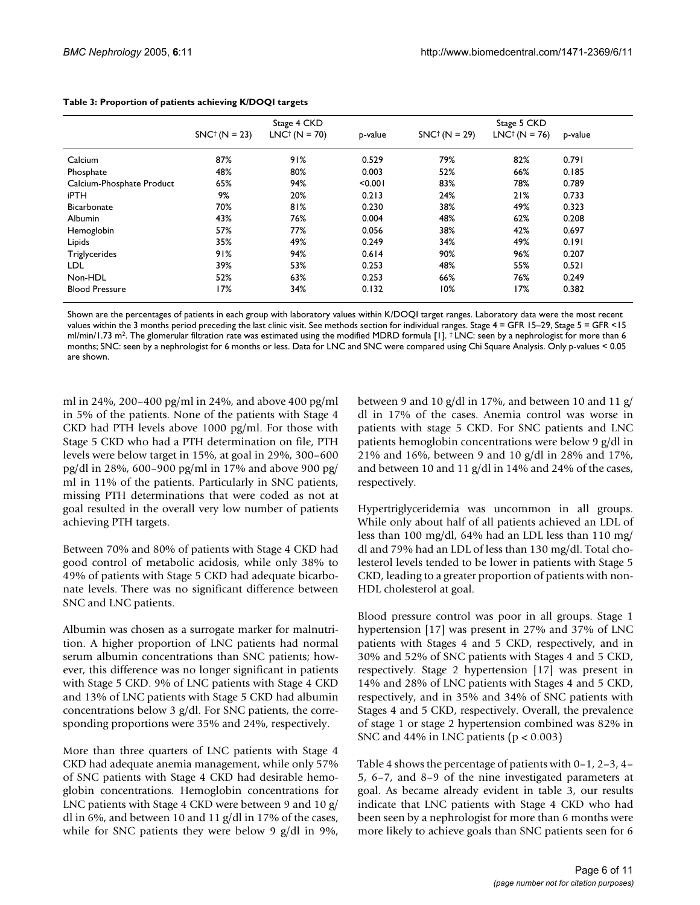|                           | Stage 4 CKD              |                          |         | Stage 5 CKD              |                          |         |
|---------------------------|--------------------------|--------------------------|---------|--------------------------|--------------------------|---------|
|                           | $SNC^{\dagger}$ (N = 23) | $LNC^{\dagger}$ (N = 70) | p-value | $SNC^{\dagger}$ (N = 29) | $LNC^{\dagger}$ (N = 76) | p-value |
| Calcium                   | 87%                      | 91%                      | 0.529   | 79%                      | 82%                      | 0.791   |
| Phosphate                 | 48%                      | 80%                      | 0.003   | 52%                      | 66%                      | 0.185   |
| Calcium-Phosphate Product | 65%                      | 94%                      | < 0.001 | 83%                      | 78%                      | 0.789   |
| <b>iPTH</b>               | 9%                       | 20%                      | 0.213   | 24%                      | 21%                      | 0.733   |
| <b>Bicarbonate</b>        | 70%                      | 81%                      | 0.230   | 38%                      | 49%                      | 0.323   |
| <b>Albumin</b>            | 43%                      | 76%                      | 0.004   | 48%                      | 62%                      | 0.208   |
| Hemoglobin                | 57%                      | 77%                      | 0.056   | 38%                      | 42%                      | 0.697   |
| Lipids                    | 35%                      | 49%                      | 0.249   | 34%                      | 49%                      | 0.191   |
| Triglycerides             | 91%                      | 94%                      | 0.614   | 90%                      | 96%                      | 0.207   |
| LDL                       | 39%                      | 53%                      | 0.253   | 48%                      | 55%                      | 0.521   |
| Non-HDL                   | 52%                      | 63%                      | 0.253   | 66%                      | 76%                      | 0.249   |
| <b>Blood Pressure</b>     | 17%                      | 34%                      | 0.132   | 10%                      | 17%                      | 0.382   |

#### **Table 3: Proportion of patients achieving K/DOQI targets**

Shown are the percentages of patients in each group with laboratory values within K/DOQI target ranges. Laboratory data were the most recent values within the 3 months period preceding the last clinic visit. See methods section for individual ranges. Stage 4 = GFR 15–29, Stage 5 = GFR <15 ml/min/1.73 m<sup>2</sup>. The glomerular filtration rate was estimated using the modified MDRD formula [1]. † LNC: seen by a nephrologist for more than 6 months; SNC: seen by a nephrologist for 6 months or less. Data for LNC and SNC were compared using Chi Square Analysis. Only p-values < 0.05 are shown.

ml in 24%, 200–400 pg/ml in 24%, and above 400 pg/ml in 5% of the patients. None of the patients with Stage 4 CKD had PTH levels above 1000 pg/ml. For those with Stage 5 CKD who had a PTH determination on file, PTH levels were below target in 15%, at goal in 29%, 300–600 pg/dl in 28%, 600–900 pg/ml in 17% and above 900 pg/ ml in 11% of the patients. Particularly in SNC patients, missing PTH determinations that were coded as not at goal resulted in the overall very low number of patients achieving PTH targets.

Between 70% and 80% of patients with Stage 4 CKD had good control of metabolic acidosis, while only 38% to 49% of patients with Stage 5 CKD had adequate bicarbonate levels. There was no significant difference between SNC and LNC patients.

Albumin was chosen as a surrogate marker for malnutrition. A higher proportion of LNC patients had normal serum albumin concentrations than SNC patients; however, this difference was no longer significant in patients with Stage 5 CKD. 9% of LNC patients with Stage 4 CKD and 13% of LNC patients with Stage 5 CKD had albumin concentrations below 3 g/dl. For SNC patients, the corresponding proportions were 35% and 24%, respectively.

More than three quarters of LNC patients with Stage 4 CKD had adequate anemia management, while only 57% of SNC patients with Stage 4 CKD had desirable hemoglobin concentrations. Hemoglobin concentrations for LNC patients with Stage 4 CKD were between 9 and 10 g/ dl in 6%, and between 10 and 11 g/dl in 17% of the cases, while for SNC patients they were below 9 g/dl in 9%,

between 9 and 10 g/dl in 17%, and between 10 and 11 g/ dl in 17% of the cases. Anemia control was worse in patients with stage 5 CKD. For SNC patients and LNC patients hemoglobin concentrations were below 9 g/dl in 21% and 16%, between 9 and 10 g/dl in 28% and 17%, and between 10 and 11 g/dl in 14% and 24% of the cases, respectively.

Hypertriglyceridemia was uncommon in all groups. While only about half of all patients achieved an LDL of less than 100 mg/dl, 64% had an LDL less than 110 mg/ dl and 79% had an LDL of less than 130 mg/dl. Total cholesterol levels tended to be lower in patients with Stage 5 CKD, leading to a greater proportion of patients with non-HDL cholesterol at goal.

Blood pressure control was poor in all groups. Stage 1 hypertension [17] was present in 27% and 37% of LNC patients with Stages 4 and 5 CKD, respectively, and in 30% and 52% of SNC patients with Stages 4 and 5 CKD, respectively. Stage 2 hypertension [17] was present in 14% and 28% of LNC patients with Stages 4 and 5 CKD, respectively, and in 35% and 34% of SNC patients with Stages 4 and 5 CKD, respectively. Overall, the prevalence of stage 1 or stage 2 hypertension combined was 82% in SNC and  $44\%$  in LNC patients ( $p < 0.003$ )

Table 4 shows the percentage of patients with 0–1, 2–3, 4– 5, 6–7, and 8–9 of the nine investigated parameters at goal. As became already evident in table 3, our results indicate that LNC patients with Stage 4 CKD who had been seen by a nephrologist for more than 6 months were more likely to achieve goals than SNC patients seen for 6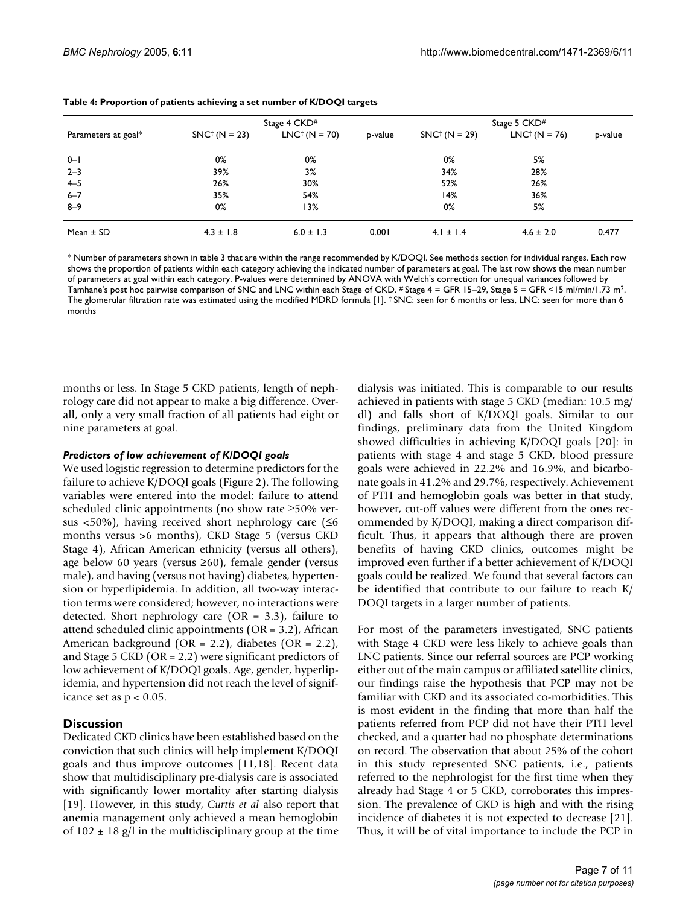|                     |                          | Stage 4 CKD#             |         |                 | Stage 5 CKD#             |         |  |
|---------------------|--------------------------|--------------------------|---------|-----------------|--------------------------|---------|--|
| Parameters at goal* | $SNC^{\dagger}$ (N = 23) | $LNC^{\dagger}$ (N = 70) | p-value | $SNC^+(N = 29)$ | $LNC^{\dagger}$ (N = 76) | p-value |  |
| $0 - 1$             | 0%                       | 0%                       |         | 0%              | 5%                       |         |  |
| $2 - 3$             | 39%                      | 3%                       |         | 34%             | 28%                      |         |  |
| $4 - 5$             | 26%                      | 30%                      |         | 52%             | 26%                      |         |  |
| $6 - 7$             | 35%                      | 54%                      |         | 14%             | 36%                      |         |  |
| $8 - 9$             | 0%                       | 13%                      |         | 0%              | 5%                       |         |  |
| Mean $\pm$ SD       | $4.3 \pm 1.8$            | $6.0 \pm 1.3$            | 0.001   | $4.1 \pm 1.4$   | $4.6 \pm 2.0$            | 0.477   |  |

| Table 4: Proportion of patients achieving a set number of K/DOQI targets |  |  |  |  |
|--------------------------------------------------------------------------|--|--|--|--|
|--------------------------------------------------------------------------|--|--|--|--|

\* Number of parameters shown in table 3 that are within the range recommended by K/DOQI. See methods section for individual ranges. Each row shows the proportion of patients within each category achieving the indicated number of parameters at goal. The last row shows the mean number of parameters at goal within each category. P-values were determined by ANOVA with Welch's correction for unequal variances followed by Tamhane's post hoc pairwise comparison of SNC and LNC within each Stage of CKD. # Stage 4 = GFR 15-29, Stage 5 = GFR <15 ml/min/1.73 m<sup>2</sup>. The glomerular filtration rate was estimated using the modified MDRD formula [1]. † SNC: seen for 6 months or less, LNC: seen for more than 6 months

months or less. In Stage 5 CKD patients, length of nephrology care did not appear to make a big difference. Overall, only a very small fraction of all patients had eight or nine parameters at goal.

#### *Predictors of low achievement of K/DOQI goals*

We used logistic regression to determine predictors for the failure to achieve K/DOQI goals (Figure [2\)](#page-7-0). The following variables were entered into the model: failure to attend scheduled clinic appointments (no show rate ≥50% versus <50%), having received short nephrology care  $(≤6)$ months versus >6 months), CKD Stage 5 (versus CKD Stage 4), African American ethnicity (versus all others), age below 60 years (versus ≥60), female gender (versus male), and having (versus not having) diabetes, hypertension or hyperlipidemia. In addition, all two-way interaction terms were considered; however, no interactions were detected. Short nephrology care (OR = 3.3), failure to attend scheduled clinic appointments (OR = 3.2), African American background (OR = 2.2), diabetes (OR = 2.2), and Stage 5 CKD (OR = 2.2) were significant predictors of low achievement of K/DOQI goals. Age, gender, hyperlipidemia, and hypertension did not reach the level of significance set as  $p < 0.05$ .

## **Discussion**

Dedicated CKD clinics have been established based on the conviction that such clinics will help implement K/DOQI goals and thus improve outcomes [11,18]. Recent data show that multidisciplinary pre-dialysis care is associated with significantly lower mortality after starting dialysis [19]. However, in this study, *Curtis et al* also report that anemia management only achieved a mean hemoglobin of  $102 \pm 18$  g/l in the multidisciplinary group at the time dialysis was initiated. This is comparable to our results achieved in patients with stage 5 CKD (median: 10.5 mg/ dl) and falls short of K/DOQI goals. Similar to our findings, preliminary data from the United Kingdom showed difficulties in achieving K/DOQI goals [20]: in patients with stage 4 and stage 5 CKD, blood pressure goals were achieved in 22.2% and 16.9%, and bicarbonate goals in 41.2% and 29.7%, respectively. Achievement of PTH and hemoglobin goals was better in that study, however, cut-off values were different from the ones recommended by K/DOQI, making a direct comparison difficult. Thus, it appears that although there are proven benefits of having CKD clinics, outcomes might be improved even further if a better achievement of K/DOQI goals could be realized. We found that several factors can be identified that contribute to our failure to reach K/ DOQI targets in a larger number of patients.

For most of the parameters investigated, SNC patients with Stage 4 CKD were less likely to achieve goals than LNC patients. Since our referral sources are PCP working either out of the main campus or affiliated satellite clinics, our findings raise the hypothesis that PCP may not be familiar with CKD and its associated co-morbidities. This is most evident in the finding that more than half the patients referred from PCP did not have their PTH level checked, and a quarter had no phosphate determinations on record. The observation that about 25% of the cohort in this study represented SNC patients, i.e., patients referred to the nephrologist for the first time when they already had Stage 4 or 5 CKD, corroborates this impression. The prevalence of CKD is high and with the rising incidence of diabetes it is not expected to decrease [21]. Thus, it will be of vital importance to include the PCP in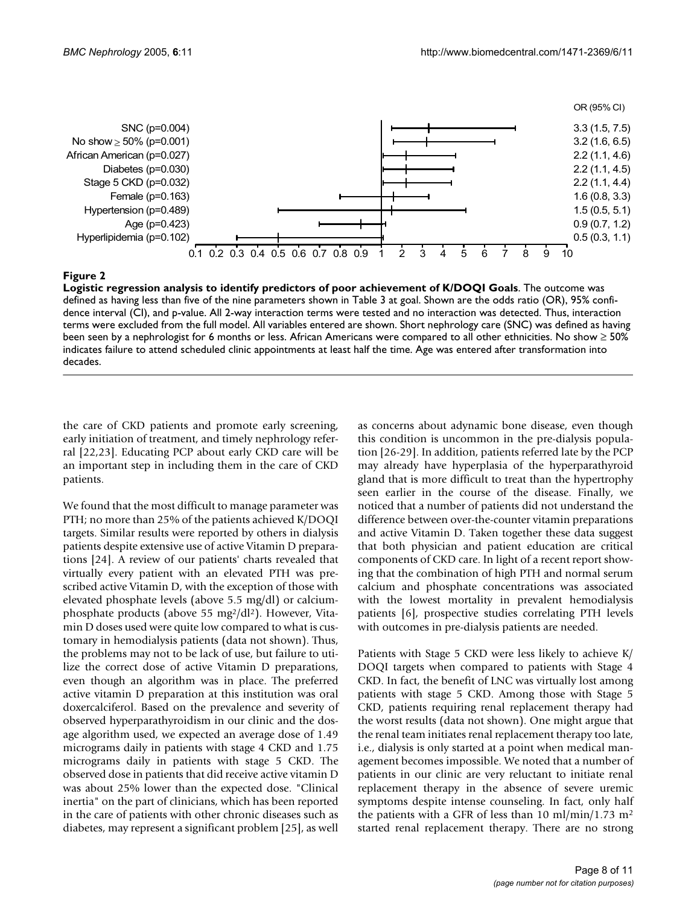<span id="page-7-0"></span>

## **Logistic regression analysis to**  $\mathbf{F}$  **is to poor achievement of poor achievement of poor achievement of**  $\mathbf{F}$

**Logistic regression analysis to identify predictors of poor achievement of K/DOQI Goals**. The outcome was defined as having less than five of the nine parameters shown in Table 3 at goal. Shown are the odds ratio (OR), 95% confidence interval (CI), and p-value. All 2-way interaction terms were tested and no interaction was detected. Thus, interaction terms were excluded from the full model. All variables entered are shown. Short nephrology care (SNC) was defined as having been seen by a nephrologist for 6 months or less. African Americans were compared to all other ethnicities. No show ≥ 50% indicates failure to attend scheduled clinic appointments at least half the time. Age was entered after transformation into decades.

the care of CKD patients and promote early screening, early initiation of treatment, and timely nephrology referral [22,23]. Educating PCP about early CKD care will be an important step in including them in the care of CKD patients.

We found that the most difficult to manage parameter was PTH; no more than 25% of the patients achieved K/DOQI targets. Similar results were reported by others in dialysis patients despite extensive use of active Vitamin D preparations [24]. A review of our patients' charts revealed that virtually every patient with an elevated PTH was prescribed active Vitamin D, with the exception of those with elevated phosphate levels (above 5.5 mg/dl) or calciumphosphate products (above 55 mg2/dl2). However, Vitamin D doses used were quite low compared to what is customary in hemodialysis patients (data not shown). Thus, the problems may not to be lack of use, but failure to utilize the correct dose of active Vitamin D preparations, even though an algorithm was in place. The preferred active vitamin D preparation at this institution was oral doxercalciferol. Based on the prevalence and severity of observed hyperparathyroidism in our clinic and the dosage algorithm used, we expected an average dose of 1.49 micrograms daily in patients with stage 4 CKD and 1.75 micrograms daily in patients with stage 5 CKD. The observed dose in patients that did receive active vitamin D was about 25% lower than the expected dose. "Clinical inertia" on the part of clinicians, which has been reported in the care of patients with other chronic diseases such as diabetes, may represent a significant problem [25], as well

as concerns about adynamic bone disease, even though this condition is uncommon in the pre-dialysis population [26-29]. In addition, patients referred late by the PCP may already have hyperplasia of the hyperparathyroid gland that is more difficult to treat than the hypertrophy seen earlier in the course of the disease. Finally, we noticed that a number of patients did not understand the difference between over-the-counter vitamin preparations and active Vitamin D. Taken together these data suggest that both physician and patient education are critical components of CKD care. In light of a recent report showing that the combination of high PTH and normal serum calcium and phosphate concentrations was associated with the lowest mortality in prevalent hemodialysis patients [6], prospective studies correlating PTH levels with outcomes in pre-dialysis patients are needed.

Patients with Stage 5 CKD were less likely to achieve K/ DOQI targets when compared to patients with Stage 4 CKD. In fact, the benefit of LNC was virtually lost among patients with stage 5 CKD. Among those with Stage 5 CKD, patients requiring renal replacement therapy had the worst results (data not shown). One might argue that the renal team initiates renal replacement therapy too late, i.e., dialysis is only started at a point when medical management becomes impossible. We noted that a number of patients in our clinic are very reluctant to initiate renal replacement therapy in the absence of severe uremic symptoms despite intense counseling. In fact, only half the patients with a GFR of less than 10 ml/min/1.73 m<sup>2</sup> started renal replacement therapy. There are no strong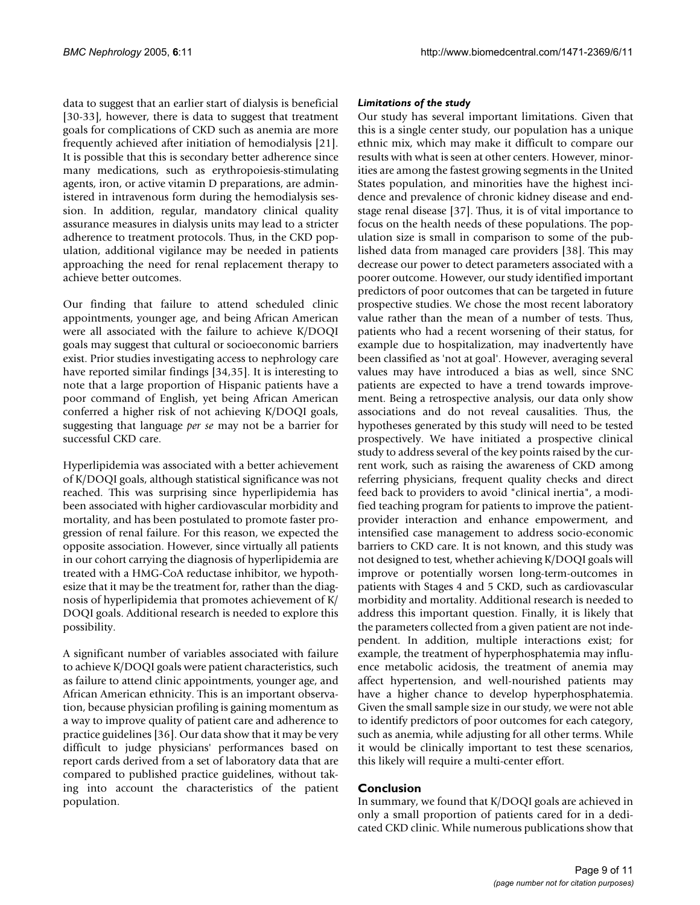data to suggest that an earlier start of dialysis is beneficial [30-33], however, there is data to suggest that treatment goals for complications of CKD such as anemia are more frequently achieved after initiation of hemodialysis [21]. It is possible that this is secondary better adherence since many medications, such as erythropoiesis-stimulating agents, iron, or active vitamin D preparations, are administered in intravenous form during the hemodialysis session. In addition, regular, mandatory clinical quality assurance measures in dialysis units may lead to a stricter adherence to treatment protocols. Thus, in the CKD population, additional vigilance may be needed in patients approaching the need for renal replacement therapy to achieve better outcomes.

Our finding that failure to attend scheduled clinic appointments, younger age, and being African American were all associated with the failure to achieve K/DOQI goals may suggest that cultural or socioeconomic barriers exist. Prior studies investigating access to nephrology care have reported similar findings [34,35]. It is interesting to note that a large proportion of Hispanic patients have a poor command of English, yet being African American conferred a higher risk of not achieving K/DOQI goals, suggesting that language *per se* may not be a barrier for successful CKD care.

Hyperlipidemia was associated with a better achievement of K/DOQI goals, although statistical significance was not reached. This was surprising since hyperlipidemia has been associated with higher cardiovascular morbidity and mortality, and has been postulated to promote faster progression of renal failure. For this reason, we expected the opposite association. However, since virtually all patients in our cohort carrying the diagnosis of hyperlipidemia are treated with a HMG-CoA reductase inhibitor, we hypothesize that it may be the treatment for, rather than the diagnosis of hyperlipidemia that promotes achievement of K/ DOQI goals. Additional research is needed to explore this possibility.

A significant number of variables associated with failure to achieve K/DOQI goals were patient characteristics, such as failure to attend clinic appointments, younger age, and African American ethnicity. This is an important observation, because physician profiling is gaining momentum as a way to improve quality of patient care and adherence to practice guidelines [36]. Our data show that it may be very difficult to judge physicians' performances based on report cards derived from a set of laboratory data that are compared to published practice guidelines, without taking into account the characteristics of the patient population.

## *Limitations of the study*

Our study has several important limitations. Given that this is a single center study, our population has a unique ethnic mix, which may make it difficult to compare our results with what is seen at other centers. However, minorities are among the fastest growing segments in the United States population, and minorities have the highest incidence and prevalence of chronic kidney disease and endstage renal disease [37]. Thus, it is of vital importance to focus on the health needs of these populations. The population size is small in comparison to some of the published data from managed care providers [38]. This may decrease our power to detect parameters associated with a poorer outcome. However, our study identified important predictors of poor outcomes that can be targeted in future prospective studies. We chose the most recent laboratory value rather than the mean of a number of tests. Thus, patients who had a recent worsening of their status, for example due to hospitalization, may inadvertently have been classified as 'not at goal'. However, averaging several values may have introduced a bias as well, since SNC patients are expected to have a trend towards improvement. Being a retrospective analysis, our data only show associations and do not reveal causalities. Thus, the hypotheses generated by this study will need to be tested prospectively. We have initiated a prospective clinical study to address several of the key points raised by the current work, such as raising the awareness of CKD among referring physicians, frequent quality checks and direct feed back to providers to avoid "clinical inertia", a modified teaching program for patients to improve the patientprovider interaction and enhance empowerment, and intensified case management to address socio-economic barriers to CKD care. It is not known, and this study was not designed to test, whether achieving K/DOQI goals will improve or potentially worsen long-term-outcomes in patients with Stages 4 and 5 CKD, such as cardiovascular morbidity and mortality. Additional research is needed to address this important question. Finally, it is likely that the parameters collected from a given patient are not independent. In addition, multiple interactions exist; for example, the treatment of hyperphosphatemia may influence metabolic acidosis, the treatment of anemia may affect hypertension, and well-nourished patients may have a higher chance to develop hyperphosphatemia. Given the small sample size in our study, we were not able to identify predictors of poor outcomes for each category, such as anemia, while adjusting for all other terms. While it would be clinically important to test these scenarios, this likely will require a multi-center effort.

## **Conclusion**

In summary, we found that K/DOQI goals are achieved in only a small proportion of patients cared for in a dedicated CKD clinic. While numerous publications show that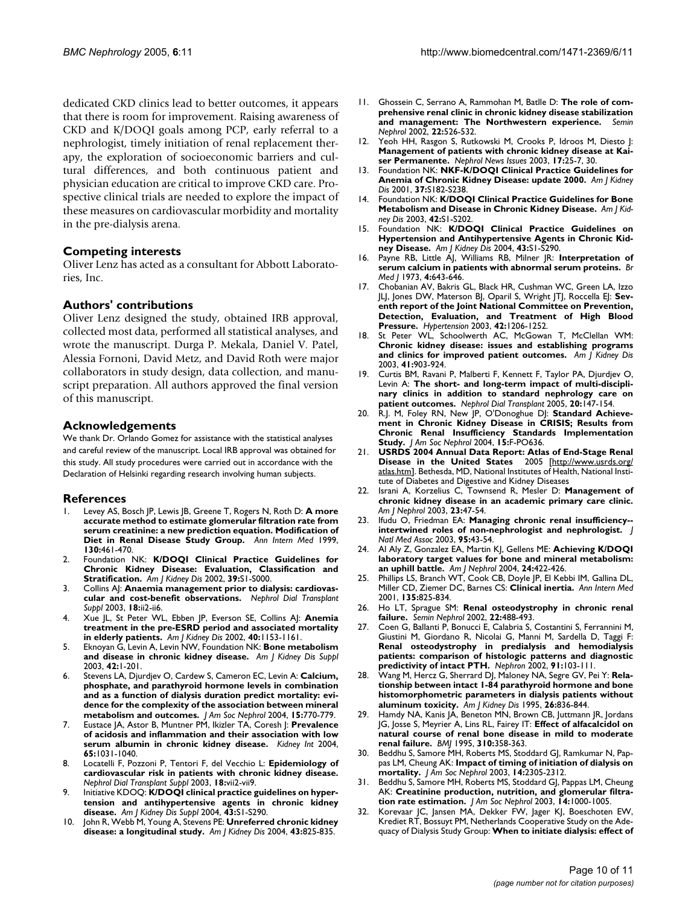dedicated CKD clinics lead to better outcomes, it appears that there is room for improvement. Raising awareness of CKD and K/DOQI goals among PCP, early referral to a nephrologist, timely initiation of renal replacement therapy, the exploration of socioeconomic barriers and cultural differences, and both continuous patient and physician education are critical to improve CKD care. Prospective clinical trials are needed to explore the impact of these measures on cardiovascular morbidity and mortality in the pre-dialysis arena.

#### **Competing interests**

Oliver Lenz has acted as a consultant for Abbott Laboratories, Inc.

#### **Authors' contributions**

Oliver Lenz designed the study, obtained IRB approval, collected most data, performed all statistical analyses, and wrote the manuscript. Durga P. Mekala, Daniel V. Patel, Alessia Fornoni, David Metz, and David Roth were major collaborators in study design, data collection, and manuscript preparation. All authors approved the final version of this manuscript.

#### **Acknowledgements**

We thank Dr. Orlando Gomez for assistance with the statistical analyses and careful review of the manuscript. Local IRB approval was obtained for this study. All study procedures were carried out in accordance with the Declaration of Helsinki regarding research involving human subjects.

#### **References**

- 1. Levey AS, Bosch JP, Lewis JB, Greene T, Rogers N, Roth D: **[A more](http://www.ncbi.nlm.nih.gov/entrez/query.fcgi?cmd=Retrieve&db=PubMed&dopt=Abstract&list_uids=10075613) accurate method to estimate glomerular filtration rate from [serum creatinine: a new prediction equation. Modification of](http://www.ncbi.nlm.nih.gov/entrez/query.fcgi?cmd=Retrieve&db=PubMed&dopt=Abstract&list_uids=10075613) [Diet in Renal Disease Study Group.](http://www.ncbi.nlm.nih.gov/entrez/query.fcgi?cmd=Retrieve&db=PubMed&dopt=Abstract&list_uids=10075613)** *Ann Intern Med* 1999, **130:**461-470.
- 2. Foundation NK: **[K/DOQI Clinical Practice Guidelines for](http://www.ncbi.nlm.nih.gov/entrez/query.fcgi?cmd=Retrieve&db=PubMed&dopt=Abstract&list_uids=11904577) [Chronic Kidney Disease: Evaluation, Classification and](http://www.ncbi.nlm.nih.gov/entrez/query.fcgi?cmd=Retrieve&db=PubMed&dopt=Abstract&list_uids=11904577) [Stratification.](http://www.ncbi.nlm.nih.gov/entrez/query.fcgi?cmd=Retrieve&db=PubMed&dopt=Abstract&list_uids=11904577)** *Am J Kidney Dis* 2002, **39:**S1-S000.
- 3. Collins AJ: **Anaemia management prior to dialysis: cardiovascular and cost-benefit observations.** *Nephrol Dial Transplant Suppl* 2003, **18:**ii2-ii6.
- 4. Xue JL, St Peter WL, Ebben JP, Everson SE, Collins AJ: **[Anemia](http://www.ncbi.nlm.nih.gov/entrez/query.fcgi?cmd=Retrieve&db=PubMed&dopt=Abstract&list_uids=12460033) [treatment in the pre-ESRD period and associated mortality](http://www.ncbi.nlm.nih.gov/entrez/query.fcgi?cmd=Retrieve&db=PubMed&dopt=Abstract&list_uids=12460033) [in elderly patients.](http://www.ncbi.nlm.nih.gov/entrez/query.fcgi?cmd=Retrieve&db=PubMed&dopt=Abstract&list_uids=12460033)** *Am J Kidney Dis* 2002, **40:**1153-1161.
- 5. Eknoyan G, Levin A, Levin NW, Foundation NK: **Bone metabolism and disease in chronic kidney disease.** *Am J Kidney Dis Suppl* 2003, **42:**1-201.
- 6. Stevens LA, Djurdjev O, Cardew S, Cameron EC, Levin A: **[Calcium,](http://www.ncbi.nlm.nih.gov/entrez/query.fcgi?cmd=Retrieve&db=PubMed&dopt=Abstract&list_uids=14978180) phosphate, and parathyroid hormone levels in combination [and as a function of dialysis duration predict mortality: evi](http://www.ncbi.nlm.nih.gov/entrez/query.fcgi?cmd=Retrieve&db=PubMed&dopt=Abstract&list_uids=14978180)dence for the complexity of the association between mineral [metabolism and outcomes.](http://www.ncbi.nlm.nih.gov/entrez/query.fcgi?cmd=Retrieve&db=PubMed&dopt=Abstract&list_uids=14978180)** *J Am Soc Nephrol* 2004, **15:**770-779.
- 7. Eustace JA, Astor B, Muntner PM, Ikizler TA, Coresh J: **[Prevalence](http://www.ncbi.nlm.nih.gov/entrez/query.fcgi?cmd=Retrieve&db=PubMed&dopt=Abstract&list_uids=14871424) [of acidosis and inflammation and their association with low](http://www.ncbi.nlm.nih.gov/entrez/query.fcgi?cmd=Retrieve&db=PubMed&dopt=Abstract&list_uids=14871424) [serum albumin in chronic kidney disease.](http://www.ncbi.nlm.nih.gov/entrez/query.fcgi?cmd=Retrieve&db=PubMed&dopt=Abstract&list_uids=14871424)** *Kidney Int* 2004, **65:**1031-1040.
- 8. Locatelli F, Pozzoni P, Tentori F, del Vecchio L: **Epidemiology of cardiovascular risk in patients with chronic kidney disease.** *Nephrol Dial Transplant Suppl* 2003, **18:**vii2-vii9.
- 9. Initiative KDOQ: **K/DOQI clinical practice guidelines on hypertension and antihypertensive agents in chronic kidney disease.** *Am J Kidney Dis Suppl* 2004, **43:**S1-S290.
- 10. John R, Webb M, Young A, Stevens PE: **[Unreferred chronic kidney](http://www.ncbi.nlm.nih.gov/entrez/query.fcgi?cmd=Retrieve&db=PubMed&dopt=Abstract&list_uids=15112173) [disease: a longitudinal study.](http://www.ncbi.nlm.nih.gov/entrez/query.fcgi?cmd=Retrieve&db=PubMed&dopt=Abstract&list_uids=15112173)** *Am J Kidney Dis* 2004, **43:**825-835.
- 11. Ghossein C, Serrano A, Rammohan M, Batlle D: **[The role of com](http://www.ncbi.nlm.nih.gov/entrez/query.fcgi?cmd=Retrieve&db=PubMed&dopt=Abstract&list_uids=12430097)[prehensive renal clinic in chronic kidney disease stabilization](http://www.ncbi.nlm.nih.gov/entrez/query.fcgi?cmd=Retrieve&db=PubMed&dopt=Abstract&list_uids=12430097) [and management: The Northwestern experience.](http://www.ncbi.nlm.nih.gov/entrez/query.fcgi?cmd=Retrieve&db=PubMed&dopt=Abstract&list_uids=12430097)** *Semin Nephrol* 2002, **22:**526-532.
- 12. Yeoh HH, Rasgon S, Rutkowski M, Crooks P, Idroos M, Diesto J: **[Management of patients with chronic kidney disease at Kai](http://www.ncbi.nlm.nih.gov/entrez/query.fcgi?cmd=Retrieve&db=PubMed&dopt=Abstract&list_uids=12971222)[ser Permanente.](http://www.ncbi.nlm.nih.gov/entrez/query.fcgi?cmd=Retrieve&db=PubMed&dopt=Abstract&list_uids=12971222)** *Nephrol News Issues* 2003, **17:**25-7, 30.
- 13. Foundation NK: **[NKF-K/DOQI Clinical Practice Guidelines for](http://www.ncbi.nlm.nih.gov/entrez/query.fcgi?cmd=Retrieve&db=PubMed&dopt=Abstract&list_uids=11229970) [Anemia of Chronic Kidney Disease: update 2000.](http://www.ncbi.nlm.nih.gov/entrez/query.fcgi?cmd=Retrieve&db=PubMed&dopt=Abstract&list_uids=11229970)** *Am J Kidney Dis* 2001, **37:**S182-S238.
- 14. Foundation NK: **[K/DOQI Clinical Practice Guidelines for Bone](http://www.ncbi.nlm.nih.gov/entrez/query.fcgi?cmd=Retrieve&db=PubMed&dopt=Abstract&list_uids=14520607) [Metabolism and Disease in Chronic Kidney Disease.](http://www.ncbi.nlm.nih.gov/entrez/query.fcgi?cmd=Retrieve&db=PubMed&dopt=Abstract&list_uids=14520607)** *Am J Kidney Dis* 2003, **42:**S1-S202.
- 15. Foundation NK: **[K/DOQI Clinical Practice Guidelines on](http://www.ncbi.nlm.nih.gov/entrez/query.fcgi?cmd=Retrieve&db=PubMed&dopt=Abstract&list_uids=15114537) [Hypertension and Antihypertensive Agents in Chronic Kid](http://www.ncbi.nlm.nih.gov/entrez/query.fcgi?cmd=Retrieve&db=PubMed&dopt=Abstract&list_uids=15114537)[ney Disease.](http://www.ncbi.nlm.nih.gov/entrez/query.fcgi?cmd=Retrieve&db=PubMed&dopt=Abstract&list_uids=15114537)** *Am J Kidney Dis* 2004, **43:**S1-S290.
- 16. Payne RB, Little AJ, Williams RB, Milner JR: **[Interpretation of](http://www.ncbi.nlm.nih.gov/entrez/query.fcgi?cmd=Retrieve&db=PubMed&dopt=Abstract&list_uids=4758544) [serum calcium in patients with abnormal serum proteins.](http://www.ncbi.nlm.nih.gov/entrez/query.fcgi?cmd=Retrieve&db=PubMed&dopt=Abstract&list_uids=4758544)** *Br Med J* 1973, **4:**643-646.
- 17. Chobanian AV, Bakris GL, Black HR, Cushman WC, Green LA, Izzo JLJ, Jones DW, Materson BJ, Oparil S, Wright JTJ, Roccella EJ: **[Sev](http://www.ncbi.nlm.nih.gov/entrez/query.fcgi?cmd=Retrieve&db=PubMed&dopt=Abstract&list_uids=14656957)enth report of the Joint National Committee on Prevention, [Detection, Evaluation, and Treatment of High Blood](http://www.ncbi.nlm.nih.gov/entrez/query.fcgi?cmd=Retrieve&db=PubMed&dopt=Abstract&list_uids=14656957) [Pressure.](http://www.ncbi.nlm.nih.gov/entrez/query.fcgi?cmd=Retrieve&db=PubMed&dopt=Abstract&list_uids=14656957)** *Hypertension* 2003, **42:**1206-1252.
- 18. St Peter WL, Schoolwerth AC, McGowan T, McClellan WM: **[Chronic kidney disease: issues and establishing programs](http://www.ncbi.nlm.nih.gov/entrez/query.fcgi?cmd=Retrieve&db=PubMed&dopt=Abstract&list_uids=12722025) [and clinics for improved patient outcomes.](http://www.ncbi.nlm.nih.gov/entrez/query.fcgi?cmd=Retrieve&db=PubMed&dopt=Abstract&list_uids=12722025)** *Am J Kidney Dis* 2003, **41:**903-924.
- 19. Curtis BM, Ravani P, Malberti F, Kennett F, Taylor PA, Djurdjev O, Levin A: **[The short- and long-term impact of multi-discipli](http://www.ncbi.nlm.nih.gov/entrez/query.fcgi?cmd=Retrieve&db=PubMed&dopt=Abstract&list_uids=15585514)[nary clinics in addition to standard nephrology care on](http://www.ncbi.nlm.nih.gov/entrez/query.fcgi?cmd=Retrieve&db=PubMed&dopt=Abstract&list_uids=15585514) [patient outcomes.](http://www.ncbi.nlm.nih.gov/entrez/query.fcgi?cmd=Retrieve&db=PubMed&dopt=Abstract&list_uids=15585514)** *Nephrol Dial Transplant* 2005, **20:**147-154.
- 20. R.J. M, Foley RN, New JP, O'Donoghue DJ: **Standard Achievement in Chronic Kidney Disease in CRISIS; Results from Chronic Renal Insufficiency Standards Implementation Study.** *J Am Soc Nephrol* 2004, **15:**F-PO636.
- 21. **USRDS 2004 Annual Data Report: Atlas of End-Stage Renal Disease in the United States** 2005 [\[http://www.usrds.org/](http://www.usrds.org/atlas.htm) [atlas.htm](http://www.usrds.org/atlas.htm)]. Bethesda, MD, National Institutes of Health, National Institute of Diabetes and Digestive and Kidney Diseases
- 22. Israni A, Korzelius C, Townsend R, Mesler D: **[Management of](http://www.ncbi.nlm.nih.gov/entrez/query.fcgi?cmd=Retrieve&db=PubMed&dopt=Abstract&list_uids=12373080) [chronic kidney disease in an academic primary care clinic.](http://www.ncbi.nlm.nih.gov/entrez/query.fcgi?cmd=Retrieve&db=PubMed&dopt=Abstract&list_uids=12373080)** *Am J Nephrol* 2003, **23:**47-54.
- 23. Ifudu O, Friedman EA: **[Managing chronic renal insufficiency-](http://www.ncbi.nlm.nih.gov/entrez/query.fcgi?cmd=Retrieve&db=PubMed&dopt=Abstract&list_uids=12656449) [intertwined roles of non-nephrologist and nephrologist.](http://www.ncbi.nlm.nih.gov/entrez/query.fcgi?cmd=Retrieve&db=PubMed&dopt=Abstract&list_uids=12656449)** *J Natl Med Assoc* 2003, **95:**43-54.
- 24. Al Aly Z, Gonzalez EA, Martin KJ, Gellens ME: **[Achieving K/DOQI](http://www.ncbi.nlm.nih.gov/entrez/query.fcgi?cmd=Retrieve&db=PubMed&dopt=Abstract&list_uids=15308874) [laboratory target values for bone and mineral metabolism:](http://www.ncbi.nlm.nih.gov/entrez/query.fcgi?cmd=Retrieve&db=PubMed&dopt=Abstract&list_uids=15308874) [an uphill battle.](http://www.ncbi.nlm.nih.gov/entrez/query.fcgi?cmd=Retrieve&db=PubMed&dopt=Abstract&list_uids=15308874)** *Am J Nephrol* 2004, **24:**422-426.
- 25. Phillips LS, Branch WT, Cook CB, Doyle JP, El Kebbi IM, Gallina DL, Miller CD, Ziemer DC, Barnes CS: **[Clinical inertia.](http://www.ncbi.nlm.nih.gov/entrez/query.fcgi?cmd=Retrieve&db=PubMed&dopt=Abstract&list_uids=11694107)** *Ann Intern Med* 2001, **135:**825-834.
- 26. Ho LT, Sprague SM: **[Renal osteodystrophy in chronic renal](http://www.ncbi.nlm.nih.gov/entrez/query.fcgi?cmd=Retrieve&db=PubMed&dopt=Abstract&list_uids=12430093) [failure.](http://www.ncbi.nlm.nih.gov/entrez/query.fcgi?cmd=Retrieve&db=PubMed&dopt=Abstract&list_uids=12430093)** *Semin Nephrol* 2002, **22:**488-493.
- 27. Coen G, Ballanti P, Bonucci E, Calabria S, Costantini S, Ferrannini M, Giustini M, Giordano R, Nicolai G, Manni M, Sardella D, Taggi F: **Renal osteodystrophy in predialysis and hemodialysis [patients: comparison of histologic patterns and diagnostic](http://www.ncbi.nlm.nih.gov/entrez/query.fcgi?cmd=Retrieve&db=PubMed&dopt=Abstract&list_uids=12021526) [predictivity of intact PTH.](http://www.ncbi.nlm.nih.gov/entrez/query.fcgi?cmd=Retrieve&db=PubMed&dopt=Abstract&list_uids=12021526)** *Nephron* 2002, **91:**103-111.
- 28. Wang M, Hercz G, Sherrard DJ, Maloney NA, Segre GV, Pei Y: **[Rela](http://www.ncbi.nlm.nih.gov/entrez/query.fcgi?cmd=Retrieve&db=PubMed&dopt=Abstract&list_uids=7485142)tionship between intact 1-84 parathyroid hormone and bone [histomorphometric parameters in dialysis patients without](http://www.ncbi.nlm.nih.gov/entrez/query.fcgi?cmd=Retrieve&db=PubMed&dopt=Abstract&list_uids=7485142) [aluminum toxicity.](http://www.ncbi.nlm.nih.gov/entrez/query.fcgi?cmd=Retrieve&db=PubMed&dopt=Abstract&list_uids=7485142)** *Am J Kidney Dis* 1995, **26:**836-844.
- 29. Hamdy NA, Kanis JA, Beneton MN, Brown CB, Juttmann JR, Jordans JG, Josse S, Meyrier A, Lins RL, Fairey IT: **[Effect of alfacalcidol on](http://www.ncbi.nlm.nih.gov/entrez/query.fcgi?cmd=Retrieve&db=PubMed&dopt=Abstract&list_uids=7677827) [natural course of renal bone disease in mild to moderate](http://www.ncbi.nlm.nih.gov/entrez/query.fcgi?cmd=Retrieve&db=PubMed&dopt=Abstract&list_uids=7677827) [renal failure.](http://www.ncbi.nlm.nih.gov/entrez/query.fcgi?cmd=Retrieve&db=PubMed&dopt=Abstract&list_uids=7677827)** *BMJ* 1995, **310:**358-363.
- 30. Beddhu S, Samore MH, Roberts MS, Stoddard GJ, Ramkumar N, Pappas LM, Cheung AK: **[Impact of timing of initiation of dialysis on](http://www.ncbi.nlm.nih.gov/entrez/query.fcgi?cmd=Retrieve&db=PubMed&dopt=Abstract&list_uids=12937307) [mortality.](http://www.ncbi.nlm.nih.gov/entrez/query.fcgi?cmd=Retrieve&db=PubMed&dopt=Abstract&list_uids=12937307)** *J Am Soc Nephrol* 2003, **14:**2305-2312.
- 31. Beddhu S, Samore MH, Roberts MS, Stoddard GJ, Pappas LM, Cheung AK: **[Creatinine production, nutrition, and glomerular filtra](http://www.ncbi.nlm.nih.gov/entrez/query.fcgi?cmd=Retrieve&db=PubMed&dopt=Abstract&list_uids=12660334)[tion rate estimation.](http://www.ncbi.nlm.nih.gov/entrez/query.fcgi?cmd=Retrieve&db=PubMed&dopt=Abstract&list_uids=12660334)** *J Am Soc Nephrol* 2003, **14:**1000-1005.
- 32. Korevaar JC, Jansen MA, Dekker FW, Jager KJ, Boeschoten EW, Krediet RT, Bossuyt PM, Netherlands Cooperative Study on the Adequacy of Dialysis Study Group: **[When to initiate dialysis: effect of](http://www.ncbi.nlm.nih.gov/entrez/query.fcgi?cmd=Retrieve&db=PubMed&dopt=Abstract&list_uids=11589934)**